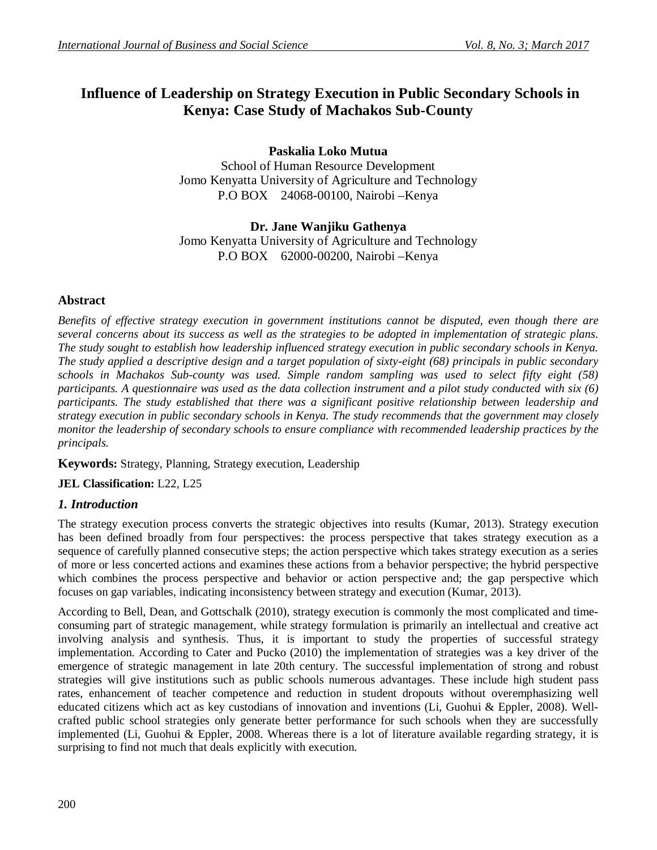# **Influence of Leadership on Strategy Execution in Public Secondary Schools in Kenya: Case Study of Machakos Sub-County**

**Paskalia Loko Mutua** School of Human Resource Development Jomo Kenyatta University of Agriculture and Technology P.O BOX 24068-00100, Nairobi –Kenya

# **Dr. Jane Wanjiku Gathenya**

Jomo Kenyatta University of Agriculture and Technology P.O BOX 62000-00200, Nairobi –Kenya

### **Abstract**

*Benefits of effective strategy execution in government institutions cannot be disputed, even though there are several concerns about its success as well as the strategies to be adopted in implementation of strategic plans. The study sought to establish how leadership influenced strategy execution in public secondary schools in Kenya. The study applied a descriptive design and a target population of sixty-eight (68) principals in public secondary schools in Machakos Sub-county was used. Simple random sampling was used to select fifty eight (58) participants. A questionnaire was used as the data collection instrument and a pilot study conducted with six (6) participants. The study established that there was a significant positive relationship between leadership and strategy execution in public secondary schools in Kenya. The study recommends that the government may closely monitor the leadership of secondary schools to ensure compliance with recommended leadership practices by the principals.*

**Keywords:** Strategy, Planning, Strategy execution, Leadership

**JEL Classification:** L22, L25

#### *1. Introduction*

The strategy execution process converts the strategic objectives into results (Kumar, 2013). Strategy execution has been defined broadly from four perspectives: the process perspective that takes strategy execution as a sequence of carefully planned consecutive steps; the action perspective which takes strategy execution as a series of more or less concerted actions and examines these actions from a behavior perspective; the hybrid perspective which combines the process perspective and behavior or action perspective and; the gap perspective which focuses on gap variables, indicating inconsistency between strategy and execution (Kumar, 2013).

According to Bell, Dean, and Gottschalk (2010), strategy execution is commonly the most complicated and timeconsuming part of strategic management, while strategy formulation is primarily an intellectual and creative act involving analysis and synthesis. Thus, it is important to study the properties of successful strategy implementation. According to Cater and Pucko (2010) the implementation of strategies was a key driver of the emergence of strategic management in late 20th century. The successful implementation of strong and robust strategies will give institutions such as public schools numerous advantages. These include high student pass rates, enhancement of teacher competence and reduction in student dropouts without overemphasizing well educated citizens which act as key custodians of innovation and inventions (Li, Guohui & Eppler, 2008). Wellcrafted public school strategies only generate better performance for such schools when they are successfully implemented (Li, Guohui & Eppler, 2008. Whereas there is a lot of literature available regarding strategy, it is surprising to find not much that deals explicitly with execution.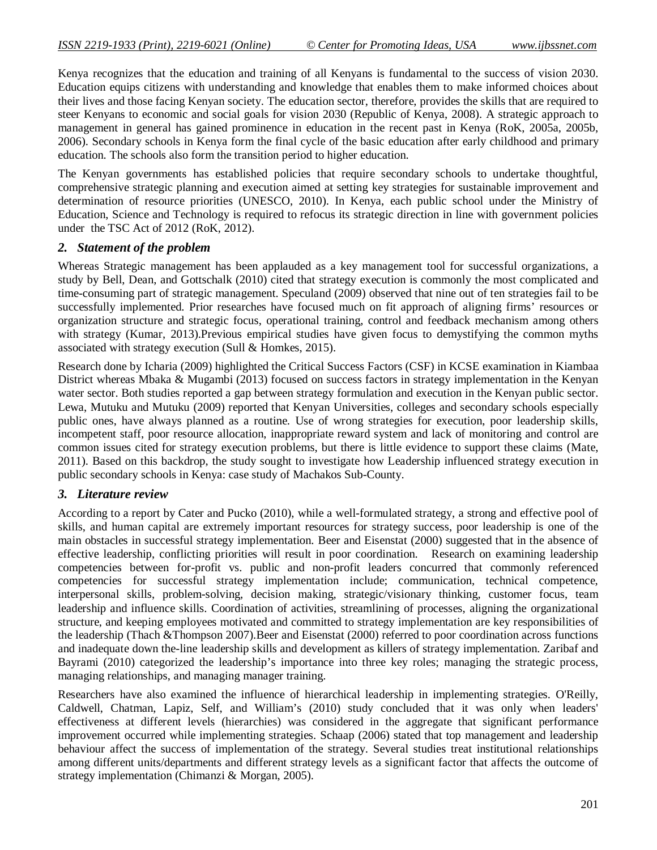Kenya recognizes that the education and training of all Kenyans is fundamental to the success of vision 2030. Education equips citizens with understanding and knowledge that enables them to make informed choices about their lives and those facing Kenyan society. The education sector, therefore, provides the skills that are required to steer Kenyans to economic and social goals for vision 2030 (Republic of Kenya, 2008). A strategic approach to management in general has gained prominence in education in the recent past in Kenya (RoK, 2005a, 2005b, 2006). Secondary schools in Kenya form the final cycle of the basic education after early childhood and primary education. The schools also form the transition period to higher education.

The Kenyan governments has established policies that require secondary schools to undertake thoughtful, comprehensive strategic planning and execution aimed at setting key strategies for sustainable improvement and determination of resource priorities (UNESCO, 2010). In Kenya, each public school under the Ministry of Education, Science and Technology is required to refocus its strategic direction in line with government policies under the TSC Act of 2012 (RoK, 2012).

#### *2. Statement of the problem*

Whereas Strategic management has been applauded as a key management tool for successful organizations, a study by Bell, Dean, and Gottschalk (2010) cited that strategy execution is commonly the most complicated and time-consuming part of strategic management. Speculand (2009) observed that nine out of ten strategies fail to be successfully implemented. Prior researches have focused much on fit approach of aligning firms' resources or organization structure and strategic focus, operational training, control and feedback mechanism among others with strategy (Kumar, 2013).Previous empirical studies have given focus to demystifying the common myths associated with strategy execution (Sull & Homkes, 2015).

Research done by Icharia (2009) highlighted the Critical Success Factors (CSF) in KCSE examination in Kiambaa District whereas Mbaka & Mugambi (2013) focused on success factors in strategy implementation in the Kenyan water sector. Both studies reported a gap between strategy formulation and execution in the Kenyan public sector. Lewa, Mutuku and Mutuku (2009) reported that Kenyan Universities, colleges and secondary schools especially public ones, have always planned as a routine. Use of wrong strategies for execution, poor leadership skills, incompetent staff, poor resource allocation, inappropriate reward system and lack of monitoring and control are common issues cited for strategy execution problems, but there is little evidence to support these claims (Mate, 2011). Based on this backdrop, the study sought to investigate how Leadership influenced strategy execution in public secondary schools in Kenya: case study of Machakos Sub-County.

#### *3. Literature review*

According to a report by Cater and Pucko (2010), while a well-formulated strategy, a strong and effective pool of skills, and human capital are extremely important resources for strategy success, poor leadership is one of the main obstacles in successful strategy implementation. Beer and Eisenstat (2000) suggested that in the absence of effective leadership, conflicting priorities will result in poor coordination. Research on examining leadership competencies between for-profit vs. public and non-profit leaders concurred that commonly referenced competencies for successful strategy implementation include; communication, technical competence, interpersonal skills, problem-solving, decision making, strategic/visionary thinking, customer focus, team leadership and influence skills. Coordination of activities, streamlining of processes, aligning the organizational structure, and keeping employees motivated and committed to strategy implementation are key responsibilities of the leadership (Thach &Thompson 2007).Beer and Eisenstat (2000) referred to poor coordination across functions and inadequate down the-line leadership skills and development as killers of strategy implementation. Zaribaf and Bayrami (2010) categorized the leadership's importance into three key roles; managing the strategic process, managing relationships, and managing manager training.

Researchers have also examined the influence of hierarchical leadership in implementing strategies. O'Reilly, Caldwell, Chatman, Lapiz, Self, and William's (2010) study concluded that it was only when leaders' effectiveness at different levels (hierarchies) was considered in the aggregate that significant performance improvement occurred while implementing strategies. Schaap (2006) stated that top management and leadership behaviour affect the success of implementation of the strategy. Several studies treat institutional relationships among different units/departments and different strategy levels as a significant factor that affects the outcome of strategy implementation (Chimanzi & Morgan, 2005).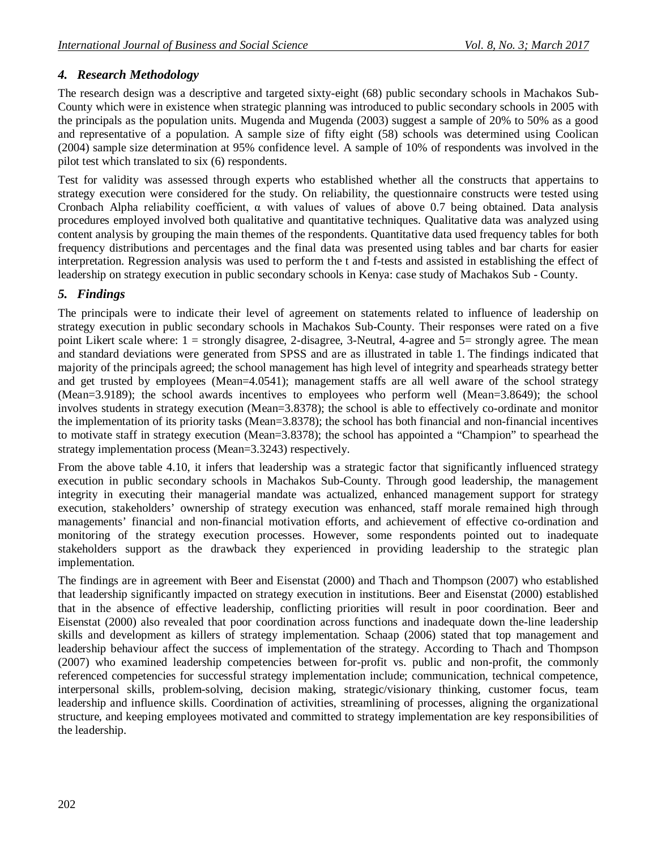# *4. Research Methodology*

The research design was a descriptive and targeted sixty-eight (68) public secondary schools in Machakos Sub-County which were in existence when strategic planning was introduced to public secondary schools in 2005 with the principals as the population units. Mugenda and Mugenda (2003) suggest a sample of 20% to 50% as a good and representative of a population. A sample size of fifty eight (58) schools was determined using Coolican (2004) sample size determination at 95% confidence level. A sample of 10% of respondents was involved in the pilot test which translated to six (6) respondents.

Test for validity was assessed through experts who established whether all the constructs that appertains to strategy execution were considered for the study. On reliability, the questionnaire constructs were tested using Cronbach Alpha reliability coefficient, α with values of values of above 0.7 being obtained. Data analysis procedures employed involved both qualitative and quantitative techniques. Qualitative data was analyzed using content analysis by grouping the main themes of the respondents. Quantitative data used frequency tables for both frequency distributions and percentages and the final data was presented using tables and bar charts for easier interpretation. Regression analysis was used to perform the t and f-tests and assisted in establishing the effect of leadership on strategy execution in public secondary schools in Kenya: case study of Machakos Sub - County.

### *5. Findings*

The principals were to indicate their level of agreement on statements related to influence of leadership on strategy execution in public secondary schools in Machakos Sub-County. Their responses were rated on a five point Likert scale where: 1 = strongly disagree, 2-disagree, 3-Neutral, 4-agree and 5= strongly agree. The mean and standard deviations were generated from SPSS and are as illustrated in table 1. The findings indicated that majority of the principals agreed; the school management has high level of integrity and spearheads strategy better and get trusted by employees (Mean=4.0541); management staffs are all well aware of the school strategy (Mean=3.9189); the school awards incentives to employees who perform well (Mean=3.8649); the school involves students in strategy execution (Mean=3.8378); the school is able to effectively co-ordinate and monitor the implementation of its priority tasks (Mean=3.8378); the school has both financial and non-financial incentives to motivate staff in strategy execution (Mean=3.8378); the school has appointed a "Champion" to spearhead the strategy implementation process (Mean=3.3243) respectively.

From the above table 4.10, it infers that leadership was a strategic factor that significantly influenced strategy execution in public secondary schools in Machakos Sub-County. Through good leadership, the management integrity in executing their managerial mandate was actualized, enhanced management support for strategy execution, stakeholders' ownership of strategy execution was enhanced, staff morale remained high through managements' financial and non-financial motivation efforts, and achievement of effective co-ordination and monitoring of the strategy execution processes. However, some respondents pointed out to inadequate stakeholders support as the drawback they experienced in providing leadership to the strategic plan implementation.

The findings are in agreement with Beer and Eisenstat (2000) and Thach and Thompson (2007) who established that leadership significantly impacted on strategy execution in institutions. Beer and Eisenstat (2000) established that in the absence of effective leadership, conflicting priorities will result in poor coordination. Beer and Eisenstat (2000) also revealed that poor coordination across functions and inadequate down the-line leadership skills and development as killers of strategy implementation. Schaap (2006) stated that top management and leadership behaviour affect the success of implementation of the strategy. According to Thach and Thompson (2007) who examined leadership competencies between for-profit vs. public and non-profit, the commonly referenced competencies for successful strategy implementation include; communication, technical competence, interpersonal skills, problem-solving, decision making, strategic/visionary thinking, customer focus, team leadership and influence skills. Coordination of activities, streamlining of processes, aligning the organizational structure, and keeping employees motivated and committed to strategy implementation are key responsibilities of the leadership.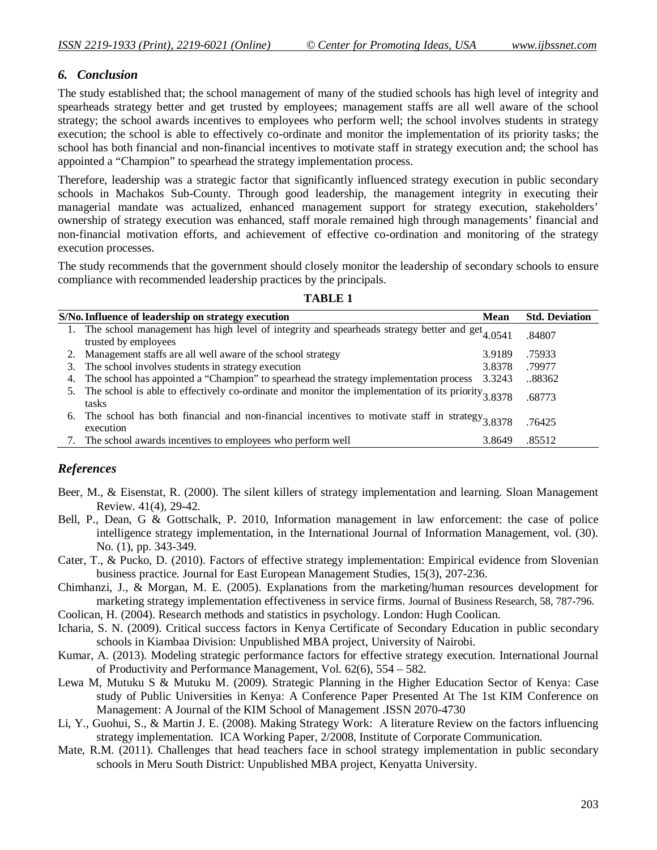#### *6. Conclusion*

The study established that; the school management of many of the studied schools has high level of integrity and spearheads strategy better and get trusted by employees; management staffs are all well aware of the school strategy; the school awards incentives to employees who perform well; the school involves students in strategy execution; the school is able to effectively co-ordinate and monitor the implementation of its priority tasks; the school has both financial and non-financial incentives to motivate staff in strategy execution and; the school has appointed a "Champion" to spearhead the strategy implementation process.

Therefore, leadership was a strategic factor that significantly influenced strategy execution in public secondary schools in Machakos Sub-County. Through good leadership, the management integrity in executing their managerial mandate was actualized, enhanced management support for strategy execution, stakeholders' ownership of strategy execution was enhanced, staff morale remained high through managements' financial and non-financial motivation efforts, and achievement of effective co-ordination and monitoring of the strategy execution processes.

The study recommends that the government should closely monitor the leadership of secondary schools to ensure compliance with recommended leadership practices by the principals.

|    | S/No. Influence of leadership on strategy execution                                                                                   | <b>Mean</b> | <b>Std. Deviation</b> |
|----|---------------------------------------------------------------------------------------------------------------------------------------|-------------|-----------------------|
|    | 1. The school management has high level of integrity and spearheads strategy better and get <sub>4.0541</sub><br>trusted by employees |             | .84807                |
|    | 2. Management staffs are all well aware of the school strategy                                                                        | 3.9189      | .75933                |
|    | 3. The school involves students in strategy execution                                                                                 | 3.8378      | .79977                |
|    | 4. The school has appointed a "Champion" to spearhead the strategy implementation process                                             | 3.3243      | 88362                 |
|    | 5. The school is able to effectively co-ordinate and monitor the implementation of its priority $3.8378$<br>tasks                     |             | .68773                |
| 6. | The school has both financial and non-financial incentives to motivate staff in strategy $3.8378$<br>execution                        |             | .76425                |
|    | The school awards incentives to employees who perform well                                                                            | 3.8649      | .85512                |

**TABLE 1**

#### *References*

- Beer, M., & Eisenstat, R. (2000). The silent killers of strategy implementation and learning. Sloan Management Review. 41(4), 29-42.
- Bell, P., Dean, G & Gottschalk, P. 2010, Information management in law enforcement: the case of police intelligence strategy implementation, in the International Journal of Information Management, vol. (30). No. (1), pp. 343-349.
- Cater, T., & Pucko, D. (2010). Factors of effective strategy implementation: Empirical evidence from Slovenian business practice. Journal for East European Management Studies, 15(3), 207-236.
- Chimhanzi, J., & Morgan, M. E. (2005). Explanations from the marketing/human resources development for marketing strategy implementation effectiveness in service firms. Journal of Business Research, 58, 787-796.
- Coolican, H. (2004). Research methods and statistics in psychology. London: Hugh Coolican.
- Icharia, S. N. (2009). Critical success factors in Kenya Certificate of Secondary Education in public secondary schools in Kiambaa Division: Unpublished MBA project, University of Nairobi.
- Kumar, A. (2013). Modeling strategic performance factors for effective strategy execution. International Journal of Productivity and Performance Management, Vol. 62(6), 554 – 582.
- Lewa M, Mutuku S & Mutuku M. (2009). Strategic Planning in the Higher Education Sector of Kenya: Case study of Public Universities in Kenya: A Conference Paper Presented At The 1st KIM Conference on Management: A Journal of the KIM School of Management .ISSN 2070-4730
- Li, Y., Guohui, S., & Martin J. E. (2008). Making Strategy Work: A literature Review on the factors influencing strategy implementation. ICA Working Paper, 2/2008, Institute of Corporate Communication.
- Mate, R.M. (2011). Challenges that head teachers face in school strategy implementation in public secondary schools in Meru South District: Unpublished MBA project, Kenyatta University.